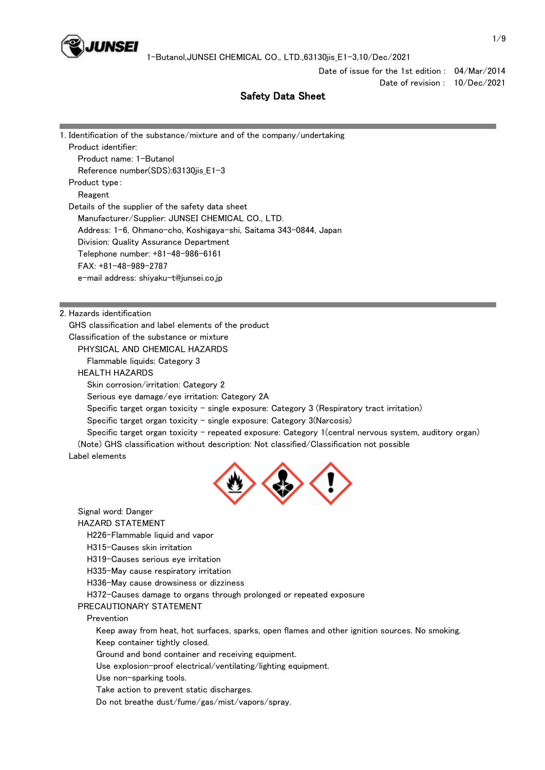

Date of issue for the 1st edition : 04/Mar/2014 Date of revision : 10/Dec/2021

# Safety Data Sheet

| 1. Identification of the substance/mixture and of the company/undertaking                                   |  |
|-------------------------------------------------------------------------------------------------------------|--|
| Product identifier:                                                                                         |  |
| Product name: 1-Butanol                                                                                     |  |
| Reference number(SDS):63130jis_E1-3                                                                         |  |
| Product type:                                                                                               |  |
| Reagent                                                                                                     |  |
| Details of the supplier of the safety data sheet                                                            |  |
| Manufacturer/Supplier: JUNSEI CHEMICAL CO., LTD.                                                            |  |
| Address: 1-6, Ohmano-cho, Koshigaya-shi, Saitama 343-0844, Japan                                            |  |
| Division: Quality Assurance Department                                                                      |  |
| Telephone number: +81-48-986-6161                                                                           |  |
| FAX: +81-48-989-2787                                                                                        |  |
| e-mail address: shiyaku-t@junsei.co.jp                                                                      |  |
|                                                                                                             |  |
|                                                                                                             |  |
| 2. Hazards identification                                                                                   |  |
| GHS classification and label elements of the product                                                        |  |
| Classification of the substance or mixture                                                                  |  |
| PHYSICAL AND CHEMICAL HAZARDS                                                                               |  |
| Flammable liquids: Category 3                                                                               |  |
| <b>HEALTH HAZARDS</b>                                                                                       |  |
| Skin corrosion/irritation: Category 2                                                                       |  |
| Serious eye damage/eye irritation: Category 2A                                                              |  |
| Specific target organ toxicity - single exposure: Category 3 (Respiratory tract irritation)                 |  |
| Specific target organ toxicity - single exposure: Category $3(Narcosis)$                                    |  |
| Specific target organ toxicity - repeated exposure: Category 1 (central nervous system, auditory organ)     |  |
| (Note) GHS classification without description: Not classified/Classification not possible<br>Label elements |  |



Signal word: Danger

HAZARD STATEMENT

H226-Flammable liquid and vapor

H315-Causes skin irritation

H319-Causes serious eye irritation

H335-May cause respiratory irritation

H336-May cause drowsiness or dizziness

H372-Causes damage to organs through prolonged or repeated exposure

PRECAUTIONARY STATEMENT

Prevention

 Keep away from heat, hot surfaces, sparks, open flames and other ignition sources. No smoking. Keep container tightly closed.

Ground and bond container and receiving equipment.

Use explosion-proof electrical/ventilating/lighting equipment.

Use non-sparking tools.

Take action to prevent static discharges.

Do not breathe dust/fume/gas/mist/vapors/spray.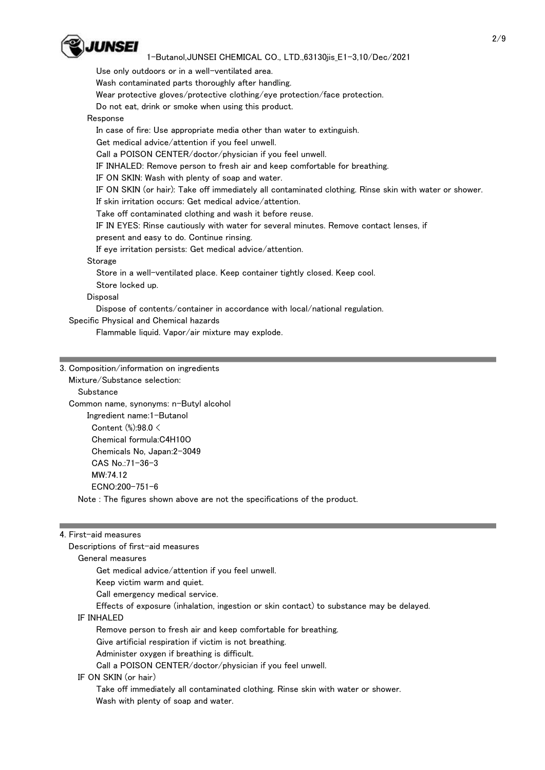

Use only outdoors or in a well-ventilated area.

Wash contaminated parts thoroughly after handling.

Wear protective gloves/protective clothing/eye protection/face protection.

Do not eat, drink or smoke when using this product.

# Response

In case of fire: Use appropriate media other than water to extinguish.

Get medical advice/attention if you feel unwell.

Call a POISON CENTER/doctor/physician if you feel unwell.

IF INHALED: Remove person to fresh air and keep comfortable for breathing.

IF ON SKIN: Wash with plenty of soap and water.

IF ON SKIN (or hair): Take off immediately all contaminated clothing. Rinse skin with water or shower.

If skin irritation occurs: Get medical advice/attention.

Take off contaminated clothing and wash it before reuse.

IF IN EYES: Rinse cautiously with water for several minutes. Remove contact lenses, if

present and easy to do. Continue rinsing.

If eye irritation persists: Get medical advice/attention.

Storage

Store in a well-ventilated place. Keep container tightly closed. Keep cool.

Store locked up.

Disposal

Dispose of contents/container in accordance with local/national regulation.

Specific Physical and Chemical hazards

Flammable liquid. Vapor/air mixture may explode.

|  | 3. Composition/information on ingredients |  |  |  |
|--|-------------------------------------------|--|--|--|
|--|-------------------------------------------|--|--|--|

Mixture/Substance selection:

**Substance** 

 Common name, synonyms: n-Butyl alcohol Ingredient name:1-Butanol Content (%):98.0 < Chemical formula:C4H10O Chemicals No, Japan:2-3049 CAS No.:71-36-3 MW:74.12 ECNO:200-751-6 Note : The figures shown above are not the specifications of the product.

#### 4. First-aid measures

Descriptions of first-aid measures

General measures

Get medical advice/attention if you feel unwell.

Keep victim warm and quiet.

Call emergency medical service.

Effects of exposure (inhalation, ingestion or skin contact) to substance may be delayed.

#### IF INHALED

Remove person to fresh air and keep comfortable for breathing.

Give artificial respiration if victim is not breathing.

Administer oxygen if breathing is difficult.

Call a POISON CENTER/doctor/physician if you feel unwell.

#### IF ON SKIN (or hair)

 Take off immediately all contaminated clothing. Rinse skin with water or shower. Wash with plenty of soap and water.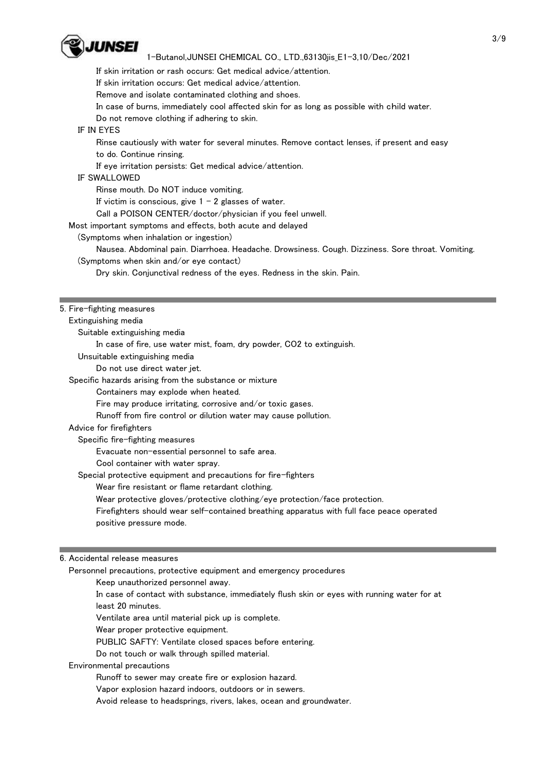

If skin irritation or rash occurs: Get medical advice/attention.

If skin irritation occurs: Get medical advice/attention.

Remove and isolate contaminated clothing and shoes.

In case of burns, immediately cool affected skin for as long as possible with child water.

Do not remove clothing if adhering to skin.

#### IF IN EYES

 Rinse cautiously with water for several minutes. Remove contact lenses, if present and easy to do. Continue rinsing.

If eye irritation persists: Get medical advice/attention.

# IF SWALLOWED

Rinse mouth. Do NOT induce vomiting.

If victim is conscious, give  $1 - 2$  glasses of water.

Call a POISON CENTER/doctor/physician if you feel unwell.

Most important symptoms and effects, both acute and delayed

(Symptoms when inhalation or ingestion)

 Nausea. Abdominal pain. Diarrhoea. Headache. Drowsiness. Cough. Dizziness. Sore throat. Vomiting. (Symptoms when skin and/or eye contact)

Dry skin. Conjunctival redness of the eyes. Redness in the skin. Pain.

#### 5. Fire-fighting measures

Extinguishing media

Suitable extinguishing media

In case of fire, use water mist, foam, dry powder, CO2 to extinguish.

Unsuitable extinguishing media

Do not use direct water jet.

Specific hazards arising from the substance or mixture

Containers may explode when heated.

Fire may produce irritating, corrosive and/or toxic gases.

Runoff from fire control or dilution water may cause pollution.

#### Advice for firefighters

Specific fire-fighting measures

Evacuate non-essential personnel to safe area.

Cool container with water spray.

Special protective equipment and precautions for fire-fighters

Wear fire resistant or flame retardant clothing.

Wear protective gloves/protective clothing/eye protection/face protection.

 Firefighters should wear self-contained breathing apparatus with full face peace operated positive pressure mode.

#### 6. Accidental release measures

Personnel precautions, protective equipment and emergency procedures

Keep unauthorized personnel away.

 In case of contact with substance, immediately flush skin or eyes with running water for at least 20 minutes.

Ventilate area until material pick up is complete.

Wear proper protective equipment.

PUBLIC SAFTY: Ventilate closed spaces before entering.

Do not touch or walk through spilled material.

#### Environmental precautions

Runoff to sewer may create fire or explosion hazard.

Vapor explosion hazard indoors, outdoors or in sewers.

Avoid release to headsprings, rivers, lakes, ocean and groundwater.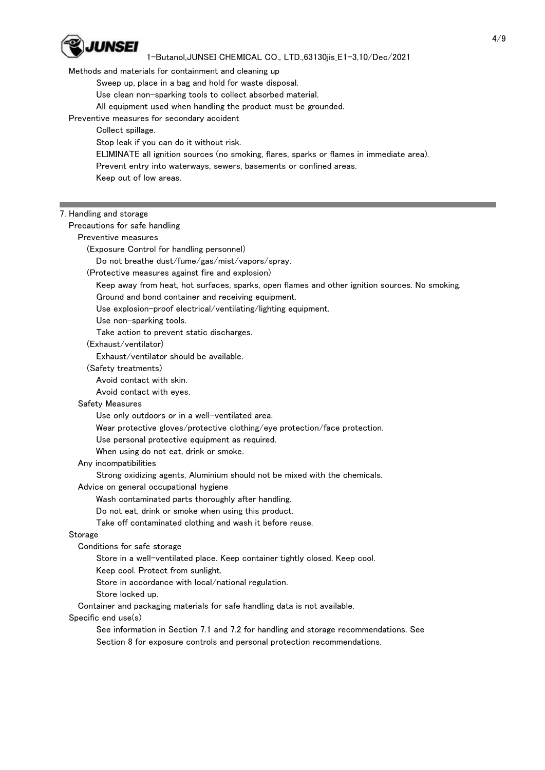

## Methods and materials for containment and cleaning up

Sweep up, place in a bag and hold for waste disposal.

- Use clean non-sparking tools to collect absorbed material.
- All equipment used when handling the product must be grounded.
- Preventive measures for secondary accident

Collect spillage.

- Stop leak if you can do it without risk.
- ELIMINATE all ignition sources (no smoking, flares, sparks or flames in immediate area).
- Prevent entry into waterways, sewers, basements or confined areas.

Keep out of low areas.

#### 7. Handling and storage

Precautions for safe handling

Preventive measures

(Exposure Control for handling personnel)

Do not breathe dust/fume/gas/mist/vapors/spray.

(Protective measures against fire and explosion)

Keep away from heat, hot surfaces, sparks, open flames and other ignition sources. No smoking.

Ground and bond container and receiving equipment.

Use explosion-proof electrical/ventilating/lighting equipment.

Use non-sparking tools.

Take action to prevent static discharges.

## (Exhaust/ventilator)

Exhaust/ventilator should be available.

(Safety treatments)

Avoid contact with skin.

Avoid contact with eyes.

#### Safety Measures

Use only outdoors or in a well-ventilated area.

Wear protective gloves/protective clothing/eye protection/face protection.

Use personal protective equipment as required.

When using do not eat, drink or smoke.

## Any incompatibilities

Strong oxidizing agents, Aluminium should not be mixed with the chemicals.

Advice on general occupational hygiene

Wash contaminated parts thoroughly after handling.

- Do not eat, drink or smoke when using this product.
- Take off contaminated clothing and wash it before reuse.

#### Storage

- Conditions for safe storage
	- Store in a well-ventilated place. Keep container tightly closed. Keep cool.
	- Keep cool. Protect from sunlight.
	- Store in accordance with local/national regulation.
	- Store locked up.

Container and packaging materials for safe handling data is not available.

#### Specific end use(s)

 See information in Section 7.1 and 7.2 for handling and storage recommendations. See Section 8 for exposure controls and personal protection recommendations.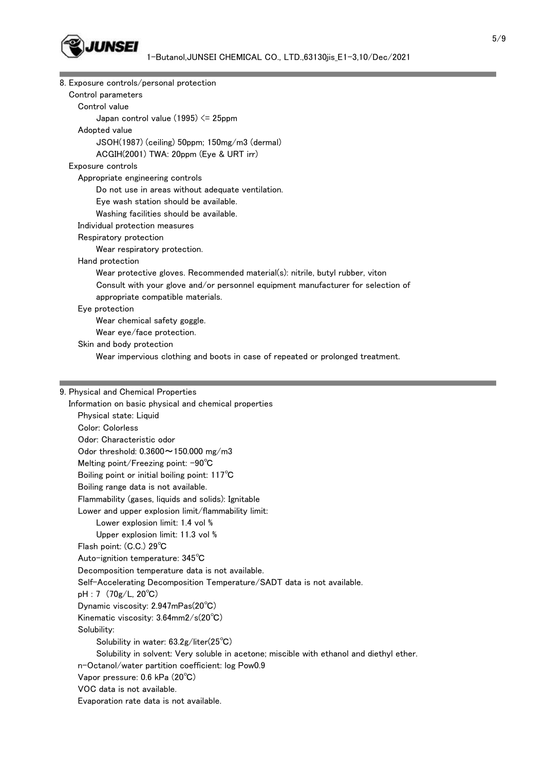

| 8. Exposure controls/personal protection                                                                                                    |  |
|---------------------------------------------------------------------------------------------------------------------------------------------|--|
| Control parameters                                                                                                                          |  |
| Control value                                                                                                                               |  |
| Japan control value $(1995) \le 25$ ppm                                                                                                     |  |
| Adopted value                                                                                                                               |  |
| JSOH(1987) (ceiling) 50ppm; 150mg/m3 (dermal)                                                                                               |  |
| ACGIH(2001) TWA: 20ppm (Eye & URT irr)                                                                                                      |  |
| Exposure controls                                                                                                                           |  |
| Appropriate engineering controls                                                                                                            |  |
| Do not use in areas without adequate ventilation.                                                                                           |  |
| Eye wash station should be available.                                                                                                       |  |
| Washing facilities should be available.                                                                                                     |  |
| Individual protection measures                                                                                                              |  |
| Respiratory protection                                                                                                                      |  |
| Wear respiratory protection.                                                                                                                |  |
| Hand protection                                                                                                                             |  |
| Wear protective gloves. Recommended material(s): nitrile, butyl rubber, viton                                                               |  |
| Consult with your glove and/or personnel equipment manufacturer for selection of                                                            |  |
| appropriate compatible materials.                                                                                                           |  |
| Eye protection                                                                                                                              |  |
| Wear chemical safety goggle.                                                                                                                |  |
| Wear eye/face protection.                                                                                                                   |  |
| Skin and body protection                                                                                                                    |  |
| Wear impervious clothing and boots in case of repeated or prolonged treatment.                                                              |  |
|                                                                                                                                             |  |
|                                                                                                                                             |  |
|                                                                                                                                             |  |
| 9. Physical and Chemical Properties                                                                                                         |  |
| Information on basic physical and chemical properties                                                                                       |  |
| Physical state: Liquid                                                                                                                      |  |
| Color: Colorless                                                                                                                            |  |
| Odor: Characteristic odor                                                                                                                   |  |
| Odor threshold: $0.3600 \sim 150.000$ mg/m3                                                                                                 |  |
| Melting point/Freezing point: -90°C                                                                                                         |  |
| Boiling point or initial boiling point: 117°C                                                                                               |  |
| Boiling range data is not available.                                                                                                        |  |
| Flammability (gases, liquids and solids): Ignitable                                                                                         |  |
| Lower and upper explosion limit/flammability limit:                                                                                         |  |
| Lower explosion limit: 1.4 vol %                                                                                                            |  |
| Upper explosion limit: 11.3 vol %                                                                                                           |  |
| Flash point: (C.C.) 29°C                                                                                                                    |  |
| Auto-ignition temperature: 345°C                                                                                                            |  |
| Decomposition temperature data is not available.                                                                                            |  |
| Self-Accelerating Decomposition Temperature/SADT data is not available.                                                                     |  |
| pH: 7 (70g/L, 20°C)                                                                                                                         |  |
| Dynamic viscosity: 2.947mPas(20°C)                                                                                                          |  |
| Kinematic viscosity: 3.64mm2/s(20°C)                                                                                                        |  |
| Solubility:                                                                                                                                 |  |
| Solubility in water: $63.2g/liter(25^{\circ}C)$<br>Solubility in solvent: Very soluble in acetone; miscible with ethanol and diethyl ether. |  |

n-Octanol/water partition coefficient: log Pow0.9

Vapor pressure: 0.6 kPa (20℃)

VOC data is not available.

Evaporation rate data is not available.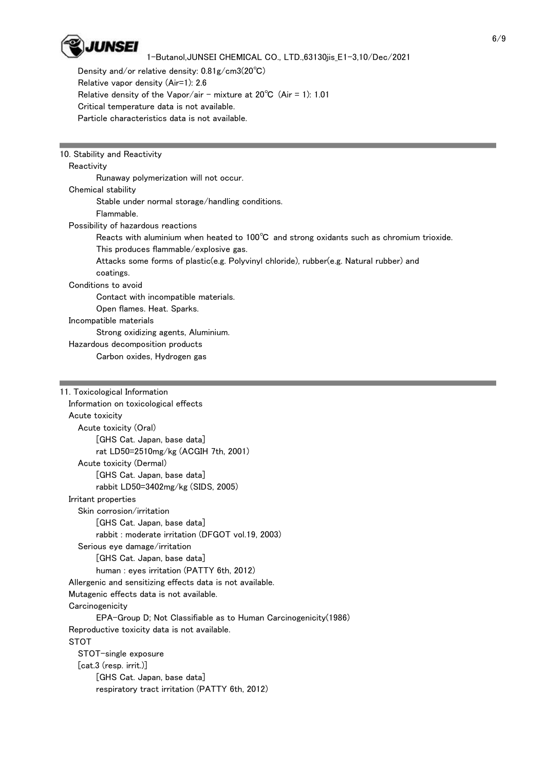

 Density and/or relative density: 0.81g/cm3(20℃) Relative vapor density (Air=1): 2.6 Relative density of the Vapor/air - mixture at  $20^{\circ}$ C (Air = 1): 1.01 Critical temperature data is not available. Particle characteristics data is not available.

| 10. Stability and Reactivity                                                                        |
|-----------------------------------------------------------------------------------------------------|
| Reactivity                                                                                          |
| Runaway polymerization will not occur.                                                              |
| Chemical stability                                                                                  |
| Stable under normal storage/handling conditions.                                                    |
| Flammable.                                                                                          |
| Possibility of hazardous reactions                                                                  |
| Reacts with aluminium when heated to 100 $\degree$ C and strong oxidants such as chromium trioxide. |
| This produces flammable/explosive gas.                                                              |
| Attacks some forms of plastic(e.g. Polyvinyl chloride), rubber(e.g. Natural rubber) and             |
| coatings.                                                                                           |
| Conditions to avoid                                                                                 |
| Contact with incompatible materials.                                                                |
| Open flames. Heat. Sparks.                                                                          |
| Incompatible materials                                                                              |
| Strong oxidizing agents, Aluminium.                                                                 |
| Hazardous decomposition products                                                                    |
| Carbon oxides, Hydrogen gas                                                                         |
|                                                                                                     |
|                                                                                                     |

| 11. Toxicological Information                                    |
|------------------------------------------------------------------|
| Information on toxicological effects                             |
| Acute toxicity                                                   |
| Acute toxicity (Oral)                                            |
| [GHS Cat. Japan, base data]                                      |
| rat LD50=2510mg/kg (ACGIH 7th, 2001)                             |
| Acute toxicity (Dermal)                                          |
| [GHS Cat. Japan, base data]                                      |
| rabbit LD50=3402mg/kg (SIDS, 2005)                               |
| Irritant properties                                              |
| Skin corrosion/irritation                                        |
| [GHS Cat. Japan, base data]                                      |
| rabbit: moderate irritation (DFGOT vol.19, 2003)                 |
| Serious eye damage/irritation                                    |
| [GHS Cat. Japan, base data]                                      |
| human : eyes irritation (PATTY 6th, 2012)                        |
| Allergenic and sensitizing effects data is not available.        |
| Mutagenic effects data is not available.                         |
| Carcinogenicity                                                  |
| EPA-Group D; Not Classifiable as to Human Carcinogenicity (1986) |
| Reproductive toxicity data is not available.                     |
| <b>STOT</b>                                                      |
| STOT-single exposure                                             |
| $[cat.3$ (resp. $irrit.)]$                                       |
| [GHS Cat. Japan, base data]                                      |
| respiratory tract irritation (PATTY 6th, 2012)                   |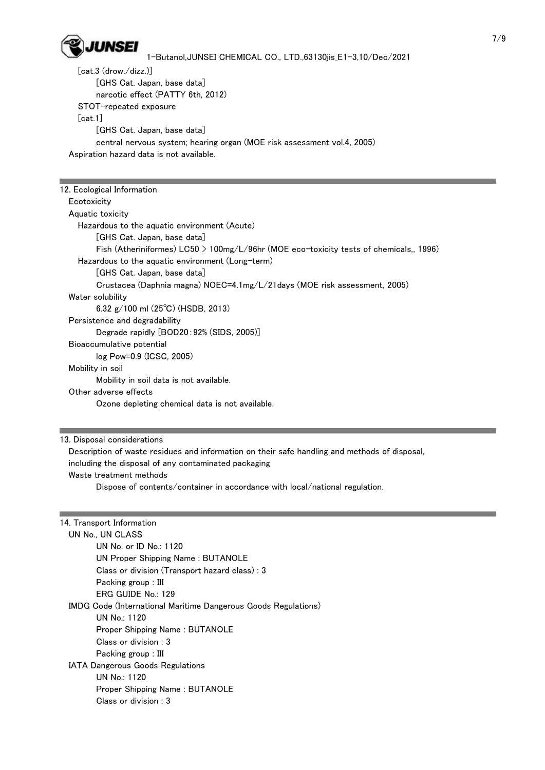

 [cat.3 (drow./dizz.)] [GHS Cat. Japan, base data] narcotic effect (PATTY 6th, 2012) STOT-repeated exposure [cat.1] [GHS Cat. Japan, base data] central nervous system; hearing organ (MOE risk assessment vol.4, 2005) Aspiration hazard data is not available.

| 12. Ecological Information                                                                |
|-------------------------------------------------------------------------------------------|
| Ecotoxicity                                                                               |
| Aquatic toxicity                                                                          |
| Hazardous to the aquatic environment (Acute)                                              |
| [GHS Cat. Japan, base data]                                                               |
| Fish (Atheriniformes) $L C50 > 100$ mg/L/96hr (MOE eco-toxicity tests of chemicals, 1996) |
| Hazardous to the aquatic environment (Long-term)                                          |
| [GHS Cat. Japan, base data]                                                               |
| Crustacea (Daphnia magna) NOEC=4.1mg/L/21days (MOE risk assessment, 2005)                 |
| Water solubility                                                                          |
| 6.32 g/100 ml $(25^{\circ}C)$ (HSDB, 2013)                                                |
| Persistence and degradability                                                             |
| Degrade rapidly [BOD20:92% (SIDS, 2005)]                                                  |
| Bioaccumulative potential                                                                 |
| $log Pow = 0.9 (ICSC, 2005)$                                                              |
| Mobility in soil                                                                          |
| Mobility in soil data is not available.                                                   |
| Other adverse effects                                                                     |
| Ozone depleting chemical data is not available.                                           |
|                                                                                           |

13. Disposal considerations

 Description of waste residues and information on their safe handling and methods of disposal, including the disposal of any contaminated packaging Waste treatment methods

Dispose of contents/container in accordance with local/national regulation.

| 14. Transport Information                                             |  |
|-----------------------------------------------------------------------|--|
| UN No., UN CLASS                                                      |  |
| UN No. or ID No.: 1120                                                |  |
| UN Proper Shipping Name: BUTANOLE                                     |  |
| Class or division (Transport hazard class): 3                         |  |
| Packing group : III                                                   |  |
| ERG GUIDE No.: 129                                                    |  |
| <b>IMDG Code (International Maritime Dangerous Goods Regulations)</b> |  |
| UN No.: $1120$                                                        |  |
| Proper Shipping Name: BUTANOLE                                        |  |
| Class or division : 3                                                 |  |
| Packing group : III                                                   |  |
| <b>IATA Dangerous Goods Regulations</b>                               |  |
| UN No.: $1120$                                                        |  |
| <b>Proper Shipping Name: BUTANOLE</b>                                 |  |
| Class or division : 3                                                 |  |
|                                                                       |  |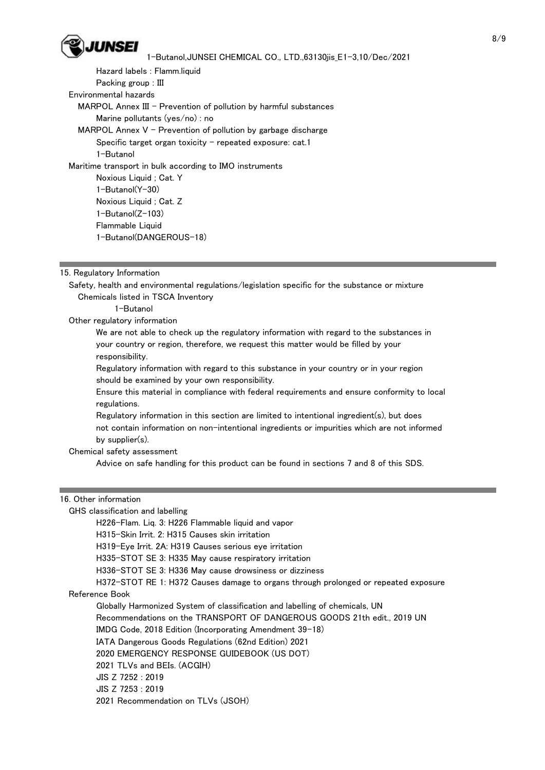

 Hazard labels : Flamm.liquid Packing group : III Environmental hazards MARPOL Annex III - Prevention of pollution by harmful substances Marine pollutants (yes/no) : no MARPOL Annex  $V$  - Prevention of pollution by garbage discharge Specific target organ toxicity  $-$  repeated exposure: cat.1 1-Butanol Maritime transport in bulk according to IMO instruments Noxious Liquid ; Cat. Y 1-Butanol(Y-30) Noxious Liquid ; Cat. Z 1-Butanol(Z-103) Flammable Liquid 1-Butanol(DANGEROUS-18)

15. Regulatory Information

 Safety, health and environmental regulations/legislation specific for the substance or mixture Chemicals listed in TSCA Inventory

1-Butanol

Other regulatory information

 We are not able to check up the regulatory information with regard to the substances in your country or region, therefore, we request this matter would be filled by your responsibility.

 Regulatory information with regard to this substance in your country or in your region should be examined by your own responsibility.

 Ensure this material in compliance with federal requirements and ensure conformity to local regulations.

 Regulatory information in this section are limited to intentional ingredient(s), but does not contain information on non-intentional ingredients or impurities which are not informed by supplier(s).

Chemical safety assessment

Advice on safe handling for this product can be found in sections 7 and 8 of this SDS.

# 16. Other information

| GHS classification and labelling                                                    |
|-------------------------------------------------------------------------------------|
| H226-Flam. Lig. 3: H226 Flammable liguid and vapor                                  |
| H315-Skin Irrit, 2: H315 Causes skin irritation                                     |
| H319-Eye Irrit. 2A: H319 Causes serious eye irritation                              |
| H335-STOT SE 3: H335 May cause respiratory irritation                               |
| H336-STOT SE 3: H336 May cause drowsiness or dizziness                              |
| H372–STOT RE 1: H372 Causes damage to organs through prolonged or repeated exposure |
| Reference Book                                                                      |
| Globally Harmonized System of classification and labelling of chemicals, UN         |
| Recommendations on the TRANSPORT OF DANGEROUS GOODS 21th edit 2019 UN               |
| IMDG Code, 2018 Edition (Incorporating Amendment 39-18)                             |
| IATA Dangerous Goods Regulations (62nd Edition) 2021                                |
| 2020 EMERGENCY RESPONSE GUIDEBOOK (US DOT)                                          |
| 2021 TLVs and BEIs. (ACGIH)                                                         |
| $JIS$ $Z$ 7252 : 2019                                                               |
| $JIS$ $Z$ 7253 : 2019                                                               |
| 2021 Recommendation on TLVs (JSOH)                                                  |